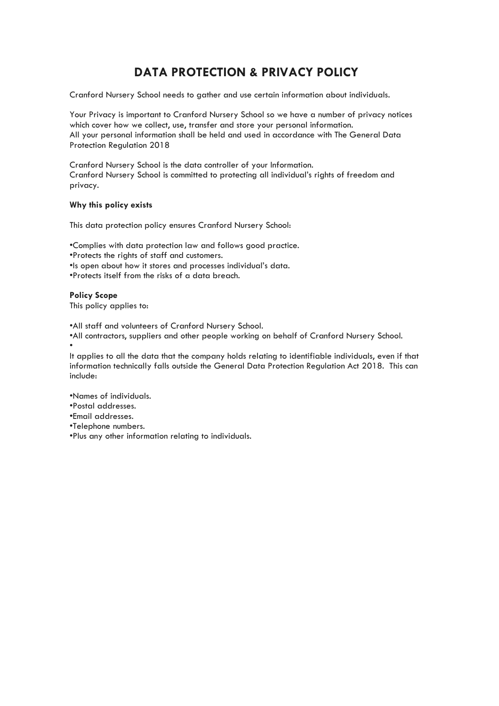# **DATA PROTECTION & PRIVACY POLICY**

Cranford Nursery School needs to gather and use certain information about individuals.

Your Privacy is important to Cranford Nursery School so we have a number of privacy notices which cover how we collect, use, transfer and store your personal information. All your personal information shall be held and used in accordance with The General Data Protection Regulation 2018

Cranford Nursery School is the data controller of your Information. Cranford Nursery School is committed to protecting all individual's rights of freedom and privacy.

## **Why this policy exists**

This data protection policy ensures Cranford Nursery School:

•Complies with data protection law and follows good practice.

•Protects the rights of staff and customers.

•Is open about how it stores and processes individual's data.

•Protects itself from the risks of a data breach.

**Policy Scope** This policy applies to:

•All staff and volunteers of Cranford Nursery School.

•All contractors, suppliers and other people working on behalf of Cranford Nursery School. •

It applies to all the data that the company holds relating to identifiable individuals, even if that information technically falls outside the General Data Protection Regulation Act 2018. This can include:

•Names of individuals.

•Postal addresses.

•Email addresses.

•Telephone numbers.

•Plus any other information relating to individuals.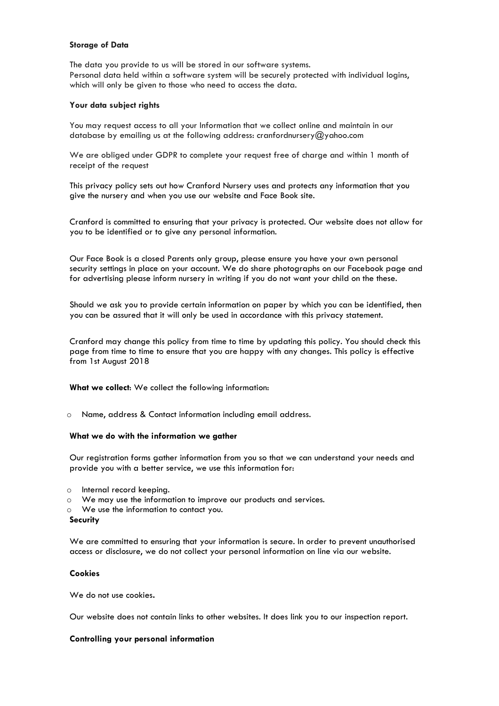### **Storage of Data**

The data you provide to us will be stored in our software systems. Personal data held within a software system will be securely protected with individual logins, which will only be given to those who need to access the data.

## **Your data subject rights**

You may request access to all your Information that we collect online and maintain in our database by emailing us at the following address: cranfordnursery@yahoo.com

We are obliged under GDPR to complete your request free of charge and within 1 month of receipt of the request

This privacy policy sets out how Cranford Nursery uses and protects any information that you give the nursery and when you use our website and Face Book site.

Cranford is committed to ensuring that your privacy is protected. Our website does not allow for you to be identified or to give any personal information.

Our Face Book is a closed Parents only group, please ensure you have your own personal security settings in place on your account. We do share photographs on our Facebook page and for advertising please inform nursery in writing if you do not want your child on the these.

Should we ask you to provide certain information on paper by which you can be identified, then you can be assured that it will only be used in accordance with this privacy statement.

Cranford may change this policy from time to time by updating this policy. You should check this page from time to time to ensure that you are happy with any changes. This policy is effective from 1st August 2018

**What we collect**: We collect the following information:

o Name, address & Contact information including email address.

#### **What we do with the information we gather**

Our registration forms gather information from you so that we can understand your needs and provide you with a better service, we use this information for:

- o Internal record keeping.
- o We may use the information to improve our products and services.
- o We use the information to contact you.

#### **Security**

We are committed to ensuring that your information is secure. In order to prevent unauthorised access or disclosure, we do not collect your personal information on line via our website.

## **Cookies**

We do not use cookies**.**

Our website does not contain links to other websites. It does link you to our inspection report.

## **Controlling your personal information**